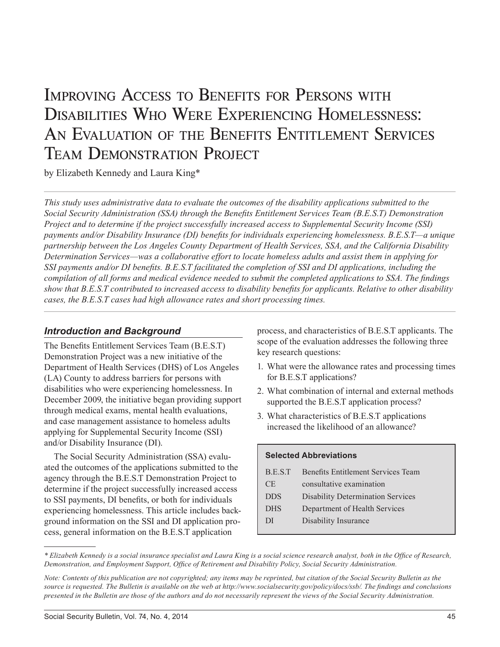# Improving Access to Benefits for Persons with Disabilities Who Were Experiencing Homelessness: AN EVALUATION OF THE BENEFITS ENTITLEMENT SERVICES Team Demonstration Project

by Elizabeth Kennedy and Laura King\*

*This study uses administrative data to evaluate the outcomes of the disability applications submitted to the Social Security Administration (SSA) through the Benefits Entitlement Services Team (B.E.S.T) Demonstration Project and to determine if the project successfully increased access to Supplemental Security Income (SSI) payments and/or Disability Insurance (DI) benefits for individuals experiencing homelessness. B.E.S.T—a unique partnership between the Los Angeles County Department of Health Services, SSA, and the California Disability Determination Services—was a collaborative effort to locate homeless adults and assist them in applying for SSI payments and/or DI benefits. B.E.S.T facilitated the completion of SSI and DI applications, including the compilation of all forms and medical evidence needed to submit the completed applications to SSA. The findings show that B.E.S.T contributed to increased access to disability benefits for applicants. Relative to other disability cases, the B.E.S.T cases had high allowance rates and short processing times.*

## *Introduction and Background*

The Benefits Entitlement Services Team (B.E.S.T) Demonstration Project was a new initiative of the Department of Health Services (DHS) of Los Angeles (LA) County to address barriers for persons with disabilities who were experiencing homelessness. In December 2009, the initiative began providing support through medical exams, mental health evaluations, and case management assistance to homeless adults applying for Supplemental Security Income (SSI) and/or Disability Insurance (DI).

The Social Security Administration (SSA) evaluated the outcomes of the applications submitted to the agency through the B.E.S.T Demonstration Project to determine if the project successfully increased access to SSI payments, DI benefits, or both for individuals experiencing homelessness. This article includes background information on the SSI and DI application process, general information on the B.E.S.T application

process, and characteristics of B.E.S.T applicants. The scope of the evaluation addresses the following three key research questions:

- 1. What were the allowance rates and processing times for B.E.S.T applications?
- 2. What combination of internal and external methods supported the B.E.S.T application process?
- 3. What characteristics of B.E.S.T applications increased the likelihood of an allowance?

## **Selected Abbreviations**

| B.E.S.T    | Benefits Entitlement Services Team       |
|------------|------------------------------------------|
| <b>CE</b>  | consultative examination                 |
| <b>DDS</b> | <b>Disability Determination Services</b> |
| <b>DHS</b> | Department of Health Services            |
| DI         | Disability Insurance                     |
|            |                                          |

*<sup>\*</sup> Elizabeth Kennedy is a social insurance specialist and Laura King is a social science research analyst, both in the Office of Research, Demonstration, and Employment Support, Office of Retirement and Disability Policy, Social Security Administration.*

*Note: Contents of this publication are not copyrighted; any items may be reprinted, but citation of the Social Security Bulletin as the source is requested. The Bulletin is available on the web at [http://www.socialsecurity.gov/policy/docs/ssb/.](http://www.socialsecurity.gov/policy/docs/ssb/) The findings and conclusions presented in the Bulletin are those of the authors and do not necessarily represent the views of the Social Security Administration.*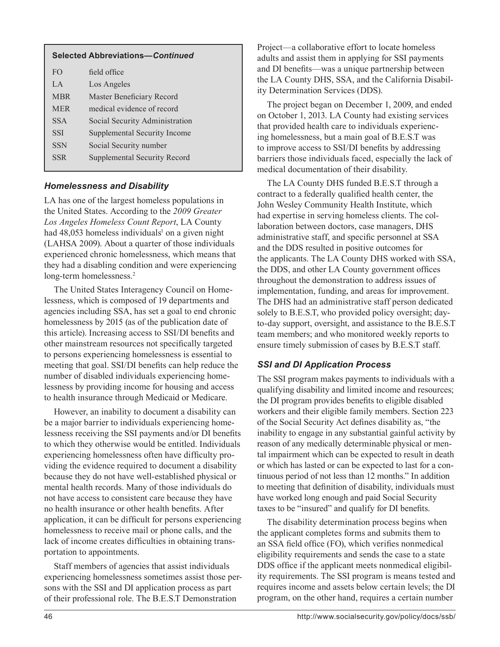| <b>Selected Abbreviations-Continued</b> |                                |  |
|-----------------------------------------|--------------------------------|--|
| F <sub>O</sub>                          | field office                   |  |
| $L^A$                                   | Los Angeles                    |  |
| <b>MBR</b>                              | Master Beneficiary Record      |  |
| <b>MER</b>                              | medical evidence of record     |  |
| <b>SSA</b>                              | Social Security Administration |  |
| <b>SSI</b>                              | Supplemental Security Income   |  |
| <b>SSN</b>                              | Social Security number         |  |
| <b>SSR</b>                              | Supplemental Security Record   |  |
|                                         |                                |  |

## *Homelessness and Disability*

LA has one of the largest homeless populations in the United States. According to the *2009 Greater Los Angeles Homeless Count Report*, LA County had 48,053 homeless individuals<sup>1</sup> on a given night (LAHSA 2009). About a quarter of those individuals experienced chronic homelessness, which means that they had a disabling condition and were experiencing long-term homelessness.2

The United States Interagency Council on Homelessness, which is composed of 19 departments and agencies including SSA, has set a goal to end chronic homelessness by 2015 (as of the publication date of this article). Increasing access to SSI/DI benefits and other mainstream resources not specifically targeted to persons experiencing homelessness is essential to meeting that goal. SSI/DI benefits can help reduce the number of disabled individuals experiencing homelessness by providing income for housing and access to health insurance through Medicaid or Medicare.

However, an inability to document a disability can be a major barrier to individuals experiencing homelessness receiving the SSI payments and/or DI benefits to which they otherwise would be entitled. Individuals experiencing homelessness often have difficulty providing the evidence required to document a disability because they do not have well-established physical or mental health records. Many of those individuals do not have access to consistent care because they have no health insurance or other health benefits. After application, it can be difficult for persons experiencing homelessness to receive mail or phone calls, and the lack of income creates difficulties in obtaining transportation to appointments.

Staff members of agencies that assist individuals experiencing homelessness sometimes assist those persons with the SSI and DI application process as part of their professional role. The B.E.S.T Demonstration

Project—a collaborative effort to locate homeless adults and assist them in applying for SSI payments and DI benefits—was a unique partnership between the LA County DHS, SSA, and the California Disability Determination Services (DDS).

The project began on December 1, 2009, and ended on October 1, 2013. LA County had existing services that provided health care to individuals experiencing homelessness, but a main goal of B.E.S.T was to improve access to SSI/DI benefits by addressing barriers those individuals faced, especially the lack of medical documentation of their disability.

The LA County DHS funded B.E.S.T through a contract to a federally qualified health center, the John Wesley Community Health Institute, which had expertise in serving homeless clients. The collaboration between doctors, case managers, DHS administrative staff, and specific personnel at SSA and the DDS resulted in positive outcomes for the applicants. The LA County DHS worked with SSA, the DDS, and other LA County government offices throughout the demonstration to address issues of implementation, funding, and areas for improvement. The DHS had an administrative staff person dedicated solely to B.E.S.T, who provided policy oversight; dayto-day support, oversight, and assistance to the B.E.S.T team members; and who monitored weekly reports to ensure timely submission of cases by B.E.S.T staff.

## *SSI and DI Application Process*

The SSI program makes payments to individuals with a qualifying disability and limited income and resources; the DI program provides benefits to eligible disabled workers and their eligible family members. Section 223 of the Social Security Act defines disability as, "the inability to engage in any substantial gainful activity by reason of any medically determinable physical or mental impairment which can be expected to result in death or which has lasted or can be expected to last for a continuous period of not less than 12 months." In addition to meeting that definition of disability, individuals must have worked long enough and paid Social Security taxes to be "insured" and qualify for DI benefits.

The disability determination process begins when the applicant completes forms and submits them to an SSA field office (FO), which verifies nonmedical eligibility requirements and sends the case to a state DDS office if the applicant meets nonmedical eligibility requirements. The SSI program is means tested and requires income and assets below certain levels; the DI program, on the other hand, requires a certain number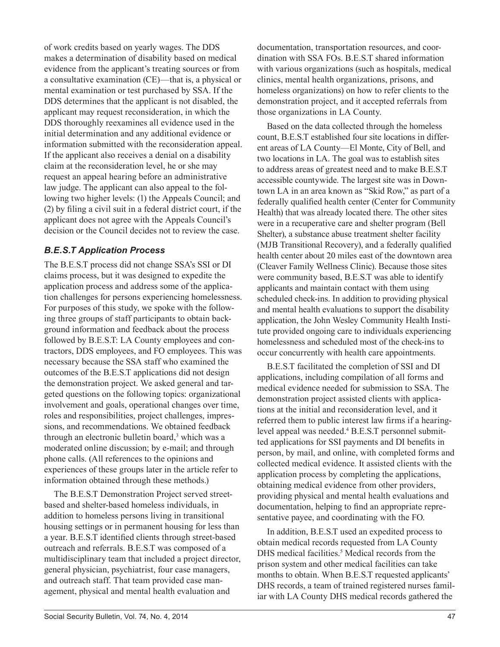of work credits based on yearly wages. The DDS makes a determination of disability based on medical evidence from the applicant's treating sources or from a consultative examination (CE)—that is, a physical or mental examination or test purchased by SSA. If the DDS determines that the applicant is not disabled, the applicant may request reconsideration, in which the DDS thoroughly reexamines all evidence used in the initial determination and any additional evidence or information submitted with the reconsideration appeal. If the applicant also receives a denial on a disability claim at the reconsideration level, he or she may request an appeal hearing before an administrative law judge. The applicant can also appeal to the following two higher levels: (1) the Appeals Council; and (2) by filing a civil suit in a federal district court, if the applicant does not agree with the Appeals Council's decision or the Council decides not to review the case.

## *B.E.S.T Application Process*

The B.E.S.T process did not change SSA's SSI or DI claims process, but it was designed to expedite the application process and address some of the application challenges for persons experiencing homelessness. For purposes of this study, we spoke with the following three groups of staff participants to obtain background information and feedback about the process followed by B.E.S.T: LA County employees and contractors, DDS employees, and FO employees. This was necessary because the SSA staff who examined the outcomes of the B.E.S.T applications did not design the demonstration project. We asked general and targeted questions on the following topics: organizational involvement and goals, operational changes over time, roles and responsibilities, project challenges, impressions, and recommendations. We obtained feedback through an electronic bulletin board,<sup>3</sup> which was a moderated online discussion; by e-mail; and through phone calls. (All references to the opinions and experiences of these groups later in the article refer to information obtained through these methods.)

The B.E.S.T Demonstration Project served streetbased and shelter-based homeless individuals, in addition to homeless persons living in transitional housing settings or in permanent housing for less than a year. B.E.S.T identified clients through street-based outreach and referrals. B.E.S.T was composed of a multidisciplinary team that included a project director, general physician, psychiatrist, four case managers, and outreach staff. That team provided case management, physical and mental health evaluation and

documentation, transportation resources, and coordination with SSA FOs. B.E.S.T shared information with various organizations (such as hospitals, medical clinics, mental health organizations, prisons, and homeless organizations) on how to refer clients to the demonstration project, and it accepted referrals from those organizations in LA County.

Based on the data collected through the homeless count, B.E.S.T established four site locations in different areas of LA County—El Monte, City of Bell, and two locations in LA. The goal was to establish sites to address areas of greatest need and to make B.E.S.T accessible countywide. The largest site was in Downtown LA in an area known as "Skid Row," as part of a federally qualified health center (Center for Community Health) that was already located there. The other sites were in a recuperative care and shelter program (Bell Shelter), a substance abuse treatment shelter facility (MJB Transitional Recovery), and a federally qualified health center about 20 miles east of the downtown area (Cleaver Family Wellness Clinic). Because those sites were community based, B.E.S.T was able to identify applicants and maintain contact with them using scheduled check-ins. In addition to providing physical and mental health evaluations to support the disability application, the John Wesley Community Health Institute provided ongoing care to individuals experiencing homelessness and scheduled most of the check-ins to occur concurrently with health care appointments.

B.E.S.T facilitated the completion of SSI and DI applications, including compilation of all forms and medical evidence needed for submission to SSA. The demonstration project assisted clients with applications at the initial and reconsideration level, and it referred them to public interest law firms if a hearinglevel appeal was needed.<sup>4</sup> B.E.S.T personnel submitted applications for SSI payments and DI benefits in person, by mail, and online, with completed forms and collected medical evidence. It assisted clients with the application process by completing the applications, obtaining medical evidence from other providers, providing physical and mental health evaluations and documentation, helping to find an appropriate representative payee, and coordinating with the FO.

In addition, B.E.S.T used an expedited process to obtain medical records requested from LA County DHS medical facilities.<sup>5</sup> Medical records from the prison system and other medical facilities can take months to obtain. When B.E.S.T requested applicants' DHS records, a team of trained registered nurses familiar with LA County DHS medical records gathered the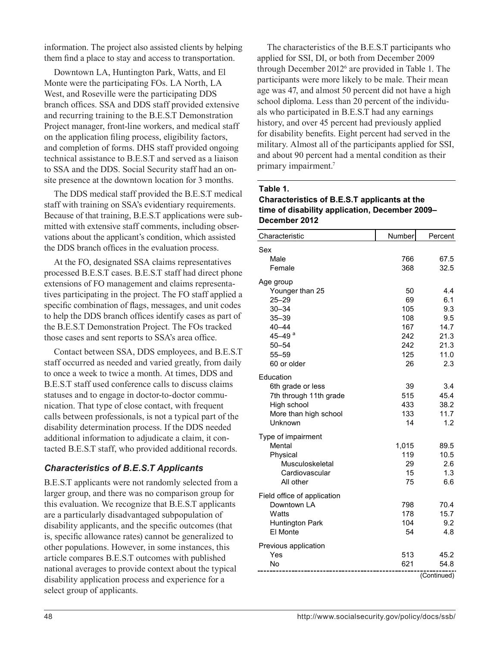information. The project also assisted clients by helping them find a place to stay and access to transportation.

Downtown LA, Huntington Park, Watts, and El Monte were the participating FOs. LA North, LA West, and Roseville were the participating DDS branch offices. SSA and DDS staff provided extensive and recurring training to the B.E.S.T Demonstration Project manager, front-line workers, and medical staff on the application filing process, eligibility factors, and completion of forms. DHS staff provided ongoing technical assistance to B.E.S.T and served as a liaison to SSA and the DDS. Social Security staff had an onsite presence at the downtown location for 3 months.

The DDS medical staff provided the B.E.S.T medical staff with training on SSA's evidentiary requirements. Because of that training, B.E.S.T applications were submitted with extensive staff comments, including observations about the applicant's condition, which assisted the DDS branch offices in the evaluation process.

At the FO, designated SSA claims representatives processed B.E.S.T cases. B.E.S.T staff had direct phone extensions of FO management and claims representatives participating in the project. The FO staff applied a specific combination of flags, messages, and unit codes to help the DDS branch offices identify cases as part of the B.E.S.T Demonstration Project. The FOs tracked those cases and sent reports to SSA's area office.

Contact between SSA, DDS employees, and B.E.S.T staff occurred as needed and varied greatly, from daily to once a week to twice a month. At times, DDS and B.E.S.T staff used conference calls to discuss claims statuses and to engage in doctor-to-doctor communication. That type of close contact, with frequent calls between professionals, is not a typical part of the disability determination process. If the DDS needed additional information to adjudicate a claim, it contacted B.E.S.T staff, who provided additional records.

## *Characteristics of B.E.S.T Applicants*

B.E.S.T applicants were not randomly selected from a larger group, and there was no comparison group for this evaluation. We recognize that B.E.S.T applicants are a particularly disadvantaged subpopulation of disability applicants, and the specific outcomes (that is, specific allowance rates) cannot be generalized to other populations. However, in some instances, this article compares B.E.S.T outcomes with published national averages to provide context about the typical disability application process and experience for a select group of applicants.

The characteristics of the B.E.S.T participants who applied for SSI, DI, or both from December 2009 through December 2012<sup>6</sup> are provided in Table 1. The participants were more likely to be male. Their mean age was 47, and almost 50 percent did not have a high school diploma. Less than 20 percent of the individuals who participated in B.E.S.T had any earnings history, and over 45 percent had previously applied for disability benefits. Eight percent had served in the military. Almost all of the participants applied for SSI, and about 90 percent had a mental condition as their primary impairment.7

## **Table 1. Characteristics of B.E.S.T applicants at the time of disability application, December 2009– December 2012**

| Characteristic              | Number | Percent     |
|-----------------------------|--------|-------------|
| Sex                         |        |             |
| Male                        | 766    | 67.5        |
| Female                      | 368    | 32.5        |
| Age group                   |        |             |
| Younger than 25             | 50     | 4.4         |
| $25 - 29$                   | 69     | 6.1         |
| $30 - 34$                   | 105    | 9.3         |
| $35 - 39$                   | 108    | 9.5         |
| $40 - 44$                   | 167    | 14.7        |
| 45-49 <sup>a</sup>          | 242    | 21.3        |
| $50 - 54$                   | 242    | 21.3        |
| 55-59                       | 125    | 11.0        |
| 60 or older                 | 26     | 2.3         |
| Education                   |        |             |
| 6th grade or less           | 39     | 3.4         |
| 7th through 11th grade      | 515    | 45.4        |
| High school                 | 433    | 38.2        |
| More than high school       | 133    | 11.7        |
| Unknown                     | 14     | 1.2         |
| Type of impairment          |        |             |
| Mental                      | 1,015  | 89.5        |
| Physical                    | 119    | 10.5        |
| Musculoskeletal             | 29     | 2.6         |
| Cardiovascular              | 15     | 1.3         |
| All other                   | 75     | 6.6         |
| Field office of application |        |             |
| Downtown LA                 | 798    | 70.4        |
| Watts                       | 178    | 15.7        |
| Huntington Park             | 104    | 9.2         |
| El Monte                    | 54     | 4.8         |
| Previous application        |        |             |
| Yes                         | 513    | 45.2        |
| No                          | 621    | 54.8        |
|                             |        | (Continued) |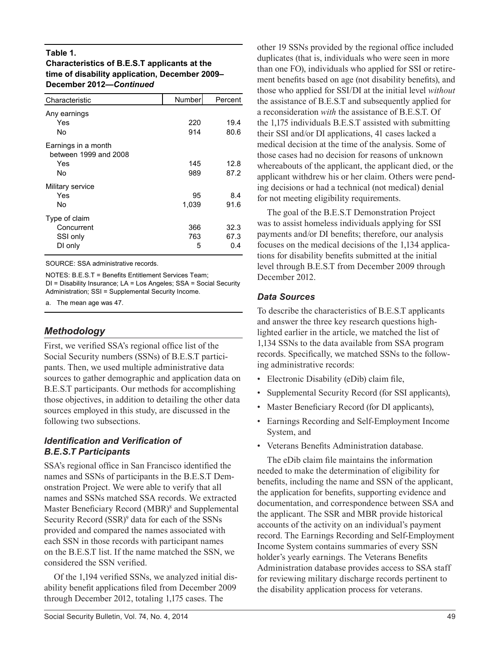### **Table 1.**

## **Characteristics of B.E.S.T applicants at the time of disability application, December 2009– December 2012—***Continued*

| Characteristic                                            | Number          | Percent             |
|-----------------------------------------------------------|-----------------|---------------------|
| Any earnings<br>Yes<br>No                                 | 220<br>914      | 19.4<br>80.6        |
| Earnings in a month<br>between 1999 and 2008<br>Yes<br>No | 145<br>989      | 12.8<br>87.2        |
| Military service<br>Yes<br>No                             | 95<br>1,039     | 8.4<br>91.6         |
| Type of claim<br>Concurrent<br>SSI only<br>DI only        | 366<br>763<br>5 | 32.3<br>67.3<br>0.4 |

SOURCE: SSA administrative records.

NOTES: B.E.S.T = Benefits Entitlement Services Team; DI = Disability Insurance; LA = Los Angeles; SSA = Social Security Administration; SSI = Supplemental Security Income.

a. The mean age was 47.

## *Methodology*

First, we verified SSA's regional office list of the Social Security numbers (SSNs) of B.E.S.T participants. Then, we used multiple administrative data sources to gather demographic and application data on B.E.S.T participants. Our methods for accomplishing those objectives, in addition to detailing the other data sources employed in this study, are discussed in the following two subsections.

## *Identification and Verification of B.E.S.T Participants*

SSA's regional office in San Francisco identified the names and SSNs of participants in the B.E.S.T Demonstration Project. We were able to verify that all names and SSNs matched SSA records. We extracted Master Beneficiary Record (MBR)<sup>8</sup> and Supplemental Security Record (SSR)<sup>9</sup> data for each of the SSNs provided and compared the names associated with each SSN in those records with participant names on the B.E.S.T list. If the name matched the SSN, we considered the SSN verified.

Of the 1,194 verified SSNs, we analyzed initial disability benefit applications filed from December 2009 through December 2012, totaling 1,175 cases. The

other 19 SSNs provided by the regional office included duplicates (that is, individuals who were seen in more than one FO), individuals who applied for SSI or retirement benefits based on age (not disability benefits), and those who applied for SSI/DI at the initial level *without* the assistance of B.E.S.T and subsequently applied for a reconsideration *with* the assistance of B.E.S.T. Of the 1,175 individuals B.E.S.T assisted with submitting their SSI and/or DI applications, 41 cases lacked a medical decision at the time of the analysis. Some of those cases had no decision for reasons of unknown whereabouts of the applicant, the applicant died, or the applicant withdrew his or her claim. Others were pending decisions or had a technical (not medical) denial for not meeting eligibility requirements.

The goal of the B.E.S.T Demonstration Project was to assist homeless individuals applying for SSI payments and/or DI benefits; therefore, our analysis focuses on the medical decisions of the 1,134 applications for disability benefits submitted at the initial level through B.E.S.T from December 2009 through December 2012.

## *Data Sources*

To describe the characteristics of B.E.S.T applicants and answer the three key research questions highlighted earlier in the article, we matched the list of 1,134 SSNs to the data available from SSA program records. Specifically, we matched SSNs to the following administrative records:

- Electronic Disability (eDib) claim file,
- Supplemental Security Record (for SSI applicants),
- Master Beneficiary Record (for DI applicants),
- Earnings Recording and Self-Employment Income System, and
- Veterans Benefits Administration database.

The eDib claim file maintains the information needed to make the determination of eligibility for benefits, including the name and SSN of the applicant, the application for benefits, supporting evidence and documentation, and correspondence between SSA and the applicant. The SSR and MBR provide historical accounts of the activity on an individual's payment record. The Earnings Recording and Self-Employment Income System contains summaries of every SSN holder's yearly earnings. The Veterans Benefits Administration database provides access to SSA staff for reviewing military discharge records pertinent to the disability application process for veterans.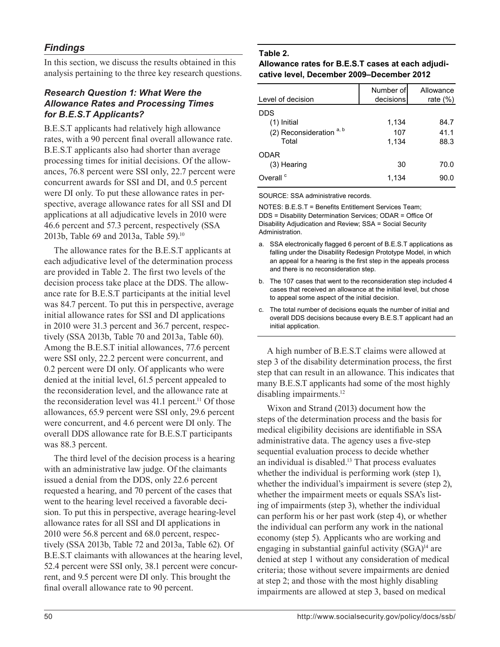In this section, we discuss the results obtained in this analysis pertaining to the three key research questions.

## *Research Question 1: What Were the Allowance Rates and Processing Times for B.E.S.T Applicants?*

B.E.S.T applicants had relatively high allowance rates, with a 90 percent final overall allowance rate. B.E.S.T applicants also had shorter than average processing times for initial decisions. Of the allowances, 76.8 percent were SSI only, 22.7 percent were concurrent awards for SSI and DI, and 0.5 percent were DI only. To put these allowance rates in perspective, average allowance rates for all SSI and DI applications at all adjudicative levels in 2010 were 46.6 percent and 57.3 percent, respectively (SSA 2013b, Table 69 and 2013a, Table 59).<sup>10</sup>

The allowance rates for the B.E.S.T applicants at each adjudicative level of the determination process are provided in Table 2. The first two levels of the decision process take place at the DDS. The allowance rate for B.E.S.T participants at the initial level was 84.7 percent. To put this in perspective, average initial allowance rates for SSI and DI applications in 2010 were 31.3 percent and 36.7 percent, respectively (SSA 2013b, Table 70 and 2013a, Table 60). Among the B.E.S.T initial allowances, 77.6 percent were SSI only, 22.2 percent were concurrent, and 0.2 percent were DI only. Of applicants who were denied at the initial level, 61.5 percent appealed to the reconsideration level, and the allowance rate at the reconsideration level was  $41.1$  percent.<sup>11</sup> Of those allowances, 65.9 percent were SSI only, 29.6 percent were concurrent, and 4.6 percent were DI only. The overall DDS allowance rate for B.E.S.T participants was 88.3 percent.

The third level of the decision process is a hearing with an administrative law judge. Of the claimants issued a denial from the DDS, only 22.6 percent requested a hearing, and 70 percent of the cases that went to the hearing level received a favorable decision. To put this in perspective, average hearing-level allowance rates for all SSI and DI applications in 2010 were 56.8 percent and 68.0 percent, respectively (SSA 2013b, Table 72 and 2013a, Table 62). Of B.E.S.T claimants with allowances at the hearing level, 52.4 percent were SSI only, 38.1 percent were concurrent, and 9.5 percent were DI only. This brought the final overall allowance rate to 90 percent.

## **Table 2.**

#### **Allowance rates for B.E.S.T cases at each adjudicative level, December 2009–December 2012**

| Level of decision          | Number of<br>decisions | Allowance<br>rate $(\%)$ |
|----------------------------|------------------------|--------------------------|
| <b>DDS</b>                 |                        |                          |
| $(1)$ Initial              | 1,134                  | 84.7                     |
| (2) Reconsideration $a, b$ | 107                    | 41.1                     |
| Total                      | 1,134                  | 88.3                     |
| <b>ODAR</b>                |                        |                          |
| (3) Hearing                | 30                     | 70.0                     |
| Overall <sup>c</sup>       | 1,134                  | 90.0                     |

SOURCE: SSA administrative records.

NOTES: B.E.S.T = Benefits Entitlement Services Team; DDS = Disability Determination Services; ODAR = Office Of Disability Adjudication and Review; SSA = Social Security Administration.

- a. SSA electronically flagged 6 percent of B.E.S.T applications as falling under the Disability Redesign Prototype Model, in which an appeal for a hearing is the first step in the appeals process and there is no reconsideration step.
- b. The 107 cases that went to the reconsideration step included 4 cases that received an allowance at the initial level, but chose to appeal some aspect of the initial decision.
- c. The total number of decisions equals the number of initial and overall DDS decisions because every B.E.S.T applicant had an initial application.

A high number of B.E.S.T claims were allowed at step 3 of the disability determination process, the first step that can result in an allowance. This indicates that many B.E.S.T applicants had some of the most highly disabling impairments.<sup>12</sup>

Wixon and Strand (2013) document how the steps of the determination process and the basis for medical eligibility decisions are identifiable in SSA administrative data. The agency uses a five-step sequential evaluation process to decide whether an individual is disabled.<sup>13</sup> That process evaluates whether the individual is performing work (step 1), whether the individual's impairment is severe (step 2), whether the impairment meets or equals SSA's listing of impairments (step 3), whether the individual can perform his or her past work (step 4), or whether the individual can perform any work in the national economy (step 5). Applicants who are working and engaging in substantial gainful activity (SGA)<sup>14</sup> are denied at step 1 without any consideration of medical criteria; those without severe impairments are denied at step 2; and those with the most highly disabling impairments are allowed at step 3, based on medical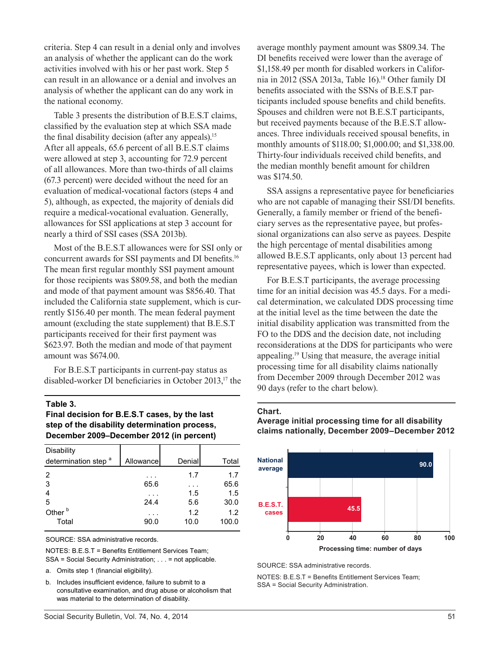criteria. Step 4 can result in a denial only and involves an analysis of whether the applicant can do the work activities involved with his or her past work. Step 5 can result in an allowance or a denial and involves an analysis of whether the applicant can do any work in the national economy.

Table 3 presents the distribution of B.E.S.T claims, classified by the evaluation step at which SSA made the final disability decision (after any appeals).<sup>15</sup> After all appeals, 65.6 percent of all B.E.S.T claims were allowed at step 3, accounting for 72.9 percent of all allowances. More than two-thirds of all claims (67.3 percent) were decided without the need for an evaluation of medical-vocational factors (steps 4 and 5), although, as expected, the majority of denials did require a medical-vocational evaluation. Generally, allowances for SSI applications at step 3 account for nearly a third of SSI cases (SSA 2013b).

Most of the B.E.S.T allowances were for SSI only or concurrent awards for SSI payments and DI benefits.<sup>16</sup> The mean first regular monthly SSI payment amount for those recipients was \$809.58, and both the median and mode of that payment amount was \$856.40. That included the California state supplement, which is currently \$156.40 per month. The mean federal payment amount (excluding the state supplement) that B.E.S.T participants received for their first payment was \$623.97. Both the median and mode of that payment amount was \$674.00.

For B.E.S.T participants in current-pay status as disabled-worker DI beneficiaries in October 2013,<sup>17</sup> the

#### **Table 3.**

**Final decision for B.E.S.T cases, by the last step of the disability determination process, December 2009–December 2012 (in percent)**

| Disability                      |           |        |       |
|---------------------------------|-----------|--------|-------|
| determination step <sup>a</sup> | Allowance | Denial | Total |
| $\overline{2}$                  |           | 1.7    | 1.7   |
| 3                               | 65.6      |        | 65.6  |
| 4                               |           | 1.5    | 1.5   |
| 5                               | 24.4      | 5.6    | 30.0  |
| Other <sup>b</sup>              |           | 1.2    | 1.2   |
| Total                           | 90.0      | 10.0   | 100.0 |

SOURCE: SSA administrative records.

NOTES: B.E.S.T = Benefits Entitlement Services Team; SSA = Social Security Administration; . . . = not applicable.

- a. Omits step 1 (financial eligibility).
- b. Includes insufficient evidence, failure to submit to a consultative examination, and drug abuse or alcoholism that was material to the determination of disability.

average monthly payment amount was \$809.34. The DI benefits received were lower than the average of \$1,158.49 per month for disabled workers in California in 2012 (SSA 2013a, Table 16).<sup>18</sup> Other family DI benefits associated with the SSNs of B.E.S.T participants included spouse benefits and child benefits. Spouses and children were not B.E.S.T participants, but received payments because of the B.E.S.T allowances. Three individuals received spousal benefits, in monthly amounts of \$118.00; \$1,000.00; and \$1,338.00. Thirty-four individuals received child benefits, and the median monthly benefit amount for children was \$174.50.

SSA assigns a representative payee for beneficiaries who are not capable of managing their SSI/DI benefits. Generally, a family member or friend of the beneficiary serves as the representative payee, but professional organizations can also serve as payees. Despite the high percentage of mental disabilities among allowed B.E.S.T applicants, only about 13 percent had representative payees, which is lower than expected.

For B.E.S.T participants, the average processing time for an initial decision was 45.5 days. For a medical determination, we calculated DDS processing time at the initial level as the time between the date the initial disability application was transmitted from the FO to the DDS and the decision date, not including reconsiderations at the DDS for participants who were appealing.19 Using that measure, the average initial processing time for all disability claims nationally from December 2009 through December 2012 was 90 days (refer to the chart below).

#### **Chart.**

#### **Average initial processing time for all disability claims nationally, December 2009–December 2012**



SOURCE: SSA administrative records.

NOTES: B.E.S.T = Benefits Entitlement Services Team; SSA = Social Security Administration.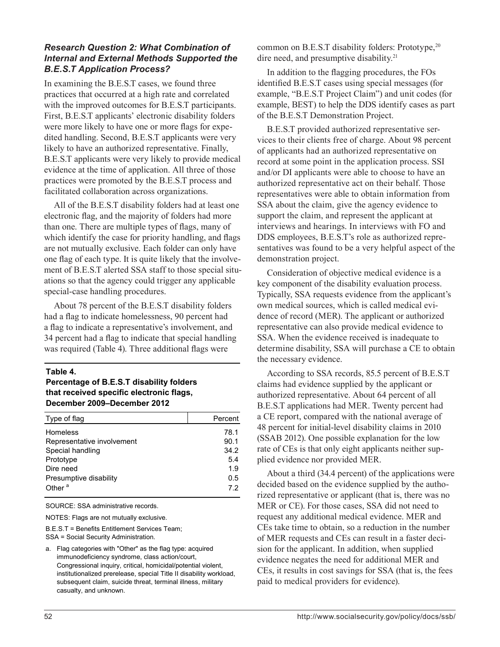## *Research Question 2: What Combination of Internal and External Methods Supported the B.E.S.T Application Process?*

In examining the B.E.S.T cases, we found three practices that occurred at a high rate and correlated with the improved outcomes for B.E.S.T participants. First, B.E.S.T applicants' electronic disability folders were more likely to have one or more flags for expedited handling. Second, B.E.S.T applicants were very likely to have an authorized representative. Finally, B.E.S.T applicants were very likely to provide medical evidence at the time of application. All three of those practices were promoted by the B.E.S.T process and facilitated collaboration across organizations.

All of the B.E.S.T disability folders had at least one electronic flag, and the majority of folders had more than one. There are multiple types of flags, many of which identify the case for priority handling, and flags are not mutually exclusive. Each folder can only have one flag of each type. It is quite likely that the involvement of B.E.S.T alerted SSA staff to those special situations so that the agency could trigger any applicable special-case handling procedures.

About 78 percent of the B.E.S.T disability folders had a flag to indicate homelessness, 90 percent had a flag to indicate a representative's involvement, and 34 percent had a flag to indicate that special handling was required (Table 4). Three additional flags were

#### **Table 4.**

#### **Percentage of B.E.S.T disability folders that received specific electronic flags, December 2009–December 2012**

| Type of flag               | Percent |
|----------------------------|---------|
| Homeless                   | 78.1    |
| Representative involvement | 90.1    |
| Special handling           | 34.2    |
| Prototype                  | 5.4     |
| Dire need                  | 1.9     |
| Presumptive disability     | 0.5     |
| Other <sup>a</sup>         | 72      |
|                            |         |

SOURCE: SSA administrative records.

NOTES: Flags are not mutually exclusive.

B.E.S.T = Benefits Entitlement Services Team; SSA = Social Security Administration.

a. Flag categories with "Other" as the flag type: acquired immunodeficiency syndrome, class action/court, Congressional inquiry, critical, homicidal/potential violent, institutionalized prerelease, special Title II disability workload, subsequent claim, suicide threat, terminal illness, military casualty, and unknown.

common on B.E.S.T disability folders: Prototype, <sup>20</sup> dire need, and presumptive disability.<sup>21</sup>

In addition to the flagging procedures, the FOs identified B.E.S.T cases using special messages (for example, "B.E.S.T Project Claim") and unit codes (for example, BEST) to help the DDS identify cases as part of the B.E.S.T Demonstration Project.

B.E.S.T provided authorized representative services to their clients free of charge. About 98 percent of applicants had an authorized representative on record at some point in the application process. SSI and/or DI applicants were able to choose to have an authorized representative act on their behalf. Those representatives were able to obtain information from SSA about the claim, give the agency evidence to support the claim, and represent the applicant at interviews and hearings. In interviews with FO and DDS employees, B.E.S.T's role as authorized representatives was found to be a very helpful aspect of the demonstration project.

Consideration of objective medical evidence is a key component of the disability evaluation process. Typically, SSA requests evidence from the applicant's own medical sources, which is called medical evidence of record (MER). The applicant or authorized representative can also provide medical evidence to SSA. When the evidence received is inadequate to determine disability, SSA will purchase a CE to obtain the necessary evidence.

According to SSA records, 85.5 percent of B.E.S.T claims had evidence supplied by the applicant or authorized representative. About 64 percent of all B.E.S.T applications had MER. Twenty percent had a CE report, compared with the national average of 48 percent for initial-level disability claims in 2010 (SSAB 2012). One possible explanation for the low rate of CEs is that only eight applicants neither supplied evidence nor provided MER.

About a third (34.4 percent) of the applications were decided based on the evidence supplied by the authorized representative or applicant (that is, there was no MER or CE). For those cases, SSA did not need to request any additional medical evidence. MER and CEs take time to obtain, so a reduction in the number of MER requests and CEs can result in a faster decision for the applicant. In addition, when supplied evidence negates the need for additional MER and CEs, it results in cost savings for SSA (that is, the fees paid to medical providers for evidence).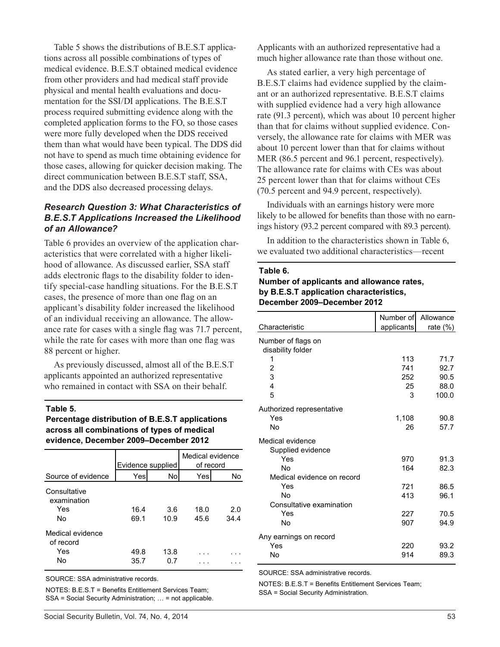Table 5 shows the distributions of B.E.S.T applications across all possible combinations of types of medical evidence. B.E.S.T obtained medical evidence from other providers and had medical staff provide physical and mental health evaluations and documentation for the SSI/DI applications. The B.E.S.T process required submitting evidence along with the completed application forms to the FO, so those cases were more fully developed when the DDS received them than what would have been typical. The DDS did not have to spend as much time obtaining evidence for those cases, allowing for quicker decision making. The direct communication between B.E.S.T staff, SSA, and the DDS also decreased processing delays.

## *Research Question 3: What Characteristics of B.E.S.T Applications Increased the Likelihood of an Allowance?*

Table 6 provides an overview of the application characteristics that were correlated with a higher likelihood of allowance. As discussed earlier, SSA staff adds electronic flags to the disability folder to identify special-case handling situations. For the B.E.S.T cases, the presence of more than one flag on an applicant's disability folder increased the likelihood of an individual receiving an allowance. The allowance rate for cases with a single flag was 71.7 percent, while the rate for cases with more than one flag was 88 percent or higher.

As previously discussed, almost all of the B.E.S.T applicants appointed an authorized representative who remained in contact with SSA on their behalf.

#### **Table 5.**

**Percentage distribution of B.E.S.T applications across all combinations of types of medical evidence, December 2009–December 2012**

|                                            | Evidence supplied |             | Medical evidence<br>of record |             |
|--------------------------------------------|-------------------|-------------|-------------------------------|-------------|
| Source of evidence                         | Yes               | No          | Yes                           | No          |
| Consultative<br>examination<br>Yes<br>No   | 16.4<br>69.1      | 3.6<br>10.9 | 18.0<br>45.6                  | 2.0<br>34.4 |
| Medical evidence<br>of record<br>Yes<br>No | 49.8<br>35.7      | 13.8<br>0.7 |                               |             |

SOURCE: SSA administrative records.

NOTES: B.E.S.T = Benefits Entitlement Services Team; SSA = Social Security Administration; … = not applicable. Applicants with an authorized representative had a much higher allowance rate than those without one.

As stated earlier, a very high percentage of B.E.S.T claims had evidence supplied by the claimant or an authorized representative. B.E.S.T claims with supplied evidence had a very high allowance rate (91.3 percent), which was about 10 percent higher than that for claims without supplied evidence. Conversely, the allowance rate for claims with MER was about 10 percent lower than that for claims without MER (86.5 percent and 96.1 percent, respectively). The allowance rate for claims with CEs was about 25 percent lower than that for claims without CEs (70.5 percent and 94.9 percent, respectively).

Individuals with an earnings history were more likely to be allowed for benefits than those with no earnings history (93.2 percent compared with 89.3 percent).

In addition to the characteristics shown in Table 6, we evaluated two additional characteristics—recent

#### **Table 6.**

## **Number of applicants and allowance rates, by B.E.S.T application characteristics, December 2009–December 2012**

| Characteristic                          | Number of<br>applicants | Allowance<br>rate $(\%)$ |
|-----------------------------------------|-------------------------|--------------------------|
| Number of flags on<br>disability folder |                         |                          |
| 1                                       | 113                     | 71.7                     |
| $\overline{c}$                          | 741                     | 92.7                     |
| 3                                       | 252                     | 90.5                     |
| $\overline{\mathbf{4}}$                 | 25                      | 88.0                     |
| 5                                       | 3                       | 100.0                    |
| Authorized representative               |                         |                          |
| Yes                                     | 1,108                   | 90.8                     |
| <b>No</b>                               | 26                      | 57.7                     |
| Medical evidence<br>Supplied evidence   |                         |                          |
| Yes                                     | 970                     | 91.3                     |
| <b>No</b>                               | 164                     | 82.3                     |
| Medical evidence on record              |                         |                          |
| Yes                                     | 721                     | 86.5                     |
| No                                      | 413                     | 96.1                     |
| Consultative examination                |                         |                          |
| Yes                                     | 227                     | 70.5                     |
| No                                      | 907                     | 94.9                     |
| Any earnings on record                  |                         |                          |
| Yes                                     | 220                     | 93.2                     |
| No                                      | 914                     | 89.3                     |

SOURCE: SSA administrative records.

NOTES: B.E.S.T = Benefits Entitlement Services Team; SSA = Social Security Administration.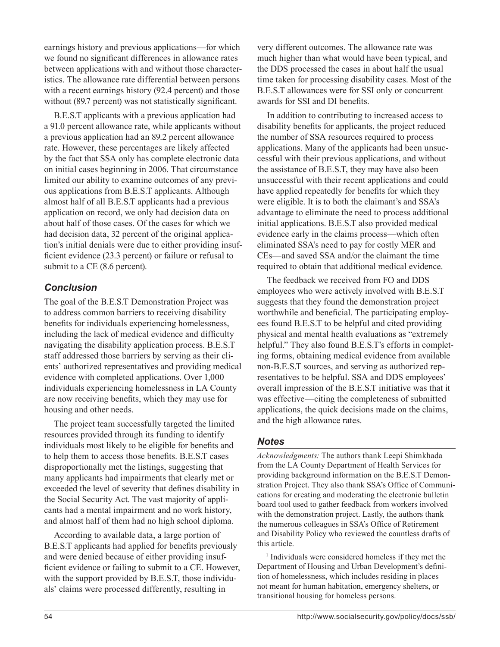earnings history and previous applications—for which we found no significant differences in allowance rates between applications with and without those characteristics. The allowance rate differential between persons with a recent earnings history (92.4 percent) and those without (89.7 percent) was not statistically significant.

B.E.S.T applicants with a previous application had a 91.0 percent allowance rate, while applicants without a previous application had an 89.2 percent allowance rate. However, these percentages are likely affected by the fact that SSA only has complete electronic data on initial cases beginning in 2006. That circumstance limited our ability to examine outcomes of any previous applications from B.E.S.T applicants. Although almost half of all B.E.S.T applicants had a previous application on record, we only had decision data on about half of those cases. Of the cases for which we had decision data, 32 percent of the original application's initial denials were due to either providing insufficient evidence (23.3 percent) or failure or refusal to submit to a CE (8.6 percent).

## *Conclusion*

The goal of the B.E.S.T Demonstration Project was to address common barriers to receiving disability benefits for individuals experiencing homelessness, including the lack of medical evidence and difficulty navigating the disability application process. B.E.S.T staff addressed those barriers by serving as their clients' authorized representatives and providing medical evidence with completed applications. Over 1,000 individuals experiencing homelessness in LA County are now receiving benefits, which they may use for housing and other needs.

The project team successfully targeted the limited resources provided through its funding to identify individuals most likely to be eligible for benefits and to help them to access those benefits. B.E.S.T cases disproportionally met the listings, suggesting that many applicants had impairments that clearly met or exceeded the level of severity that defines disability in the Social Security Act. The vast majority of applicants had a mental impairment and no work history, and almost half of them had no high school diploma.

According to available data, a large portion of B.E.S.T applicants had applied for benefits previously and were denied because of either providing insufficient evidence or failing to submit to a CE. However, with the support provided by B.E.S.T, those individuals' claims were processed differently, resulting in

very different outcomes. The allowance rate was much higher than what would have been typical, and the DDS processed the cases in about half the usual time taken for processing disability cases. Most of the B.E.S.T allowances were for SSI only or concurrent awards for SSI and DI benefits.

In addition to contributing to increased access to disability benefits for applicants, the project reduced the number of SSA resources required to process applications. Many of the applicants had been unsuccessful with their previous applications, and without the assistance of B.E.S.T, they may have also been unsuccessful with their recent applications and could have applied repeatedly for benefits for which they were eligible. It is to both the claimant's and SSA's advantage to eliminate the need to process additional initial applications. B.E.S.T also provided medical evidence early in the claims process—which often eliminated SSA's need to pay for costly MER and CEs—and saved SSA and/or the claimant the time required to obtain that additional medical evidence.

The feedback we received from FO and DDS employees who were actively involved with B.E.S.T suggests that they found the demonstration project worthwhile and beneficial. The participating employees found B.E.S.T to be helpful and cited providing physical and mental health evaluations as "extremely helpful." They also found B.E.S.T's efforts in completing forms, obtaining medical evidence from available non-B.E.S.T sources, and serving as authorized representatives to be helpful. SSA and DDS employees' overall impression of the B.E.S.T initiative was that it was effective—citing the completeness of submitted applications, the quick decisions made on the claims, and the high allowance rates.

## *Notes*

*Acknowledgments:* The authors thank Leepi Shimkhada from the LA County Department of Health Services for providing background information on the B.E.S.T Demonstration Project. They also thank SSA's Office of Communications for creating and moderating the electronic bulletin board tool used to gather feedback from workers involved with the demonstration project. Lastly, the authors thank the numerous colleagues in SSA's Office of Retirement and Disability Policy who reviewed the countless drafts of this article.

<sup>1</sup> Individuals were considered homeless if they met the Department of Housing and Urban Development's definition of homelessness, which includes residing in places not meant for human habitation, emergency shelters, or transitional housing for homeless persons.